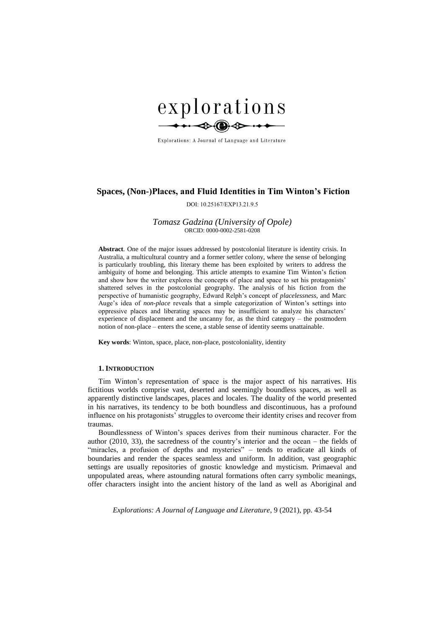

Explorations: A Journal of Language and Literature

# **Spaces, (Non-)Places, and Fluid Identities in Tim Winton's Fiction**

DOI: 10.25167/EXP13.21.9.5

# *Tomasz Gadzina (University of Opole)* ORCID: 0000-0002-2581-0208

**Abstract***.* One of the major issues addressed by postcolonial literature is identity crisis. In Australia, a multicultural country and a former settler colony, where the sense of belonging is particularly troubling, this literary theme has been exploited by writers to address the ambiguity of home and belonging. This article attempts to examine Tim Winton's fiction and show how the writer explores the concepts of place and space to set his protagonists' shattered selves in the postcolonial geography. The analysis of his fiction from the perspective of humanistic geography, Edward Relph's concept of *placelessness*, and Marc Auge's idea of *non-place* reveals that a simple categorization of Winton's settings into oppressive places and liberating spaces may be insufficient to analyze his characters' experience of displacement and the uncanny for, as the third category – the postmodern notion of non-place – enters the scene, a stable sense of identity seems unattainable.

**Key words**: Winton, space, place, non-place, postcoloniality, identity

# **1. INTRODUCTION**

Tim Winton's representation of space is the major aspect of his narratives. His fictitious worlds comprise vast, deserted and seemingly boundless spaces, as well as apparently distinctive landscapes, places and locales. The duality of the world presented in his narratives, its tendency to be both boundless and discontinuous, has a profound influence on his protagonists' struggles to overcome their identity crises and recover from traumas.

Boundlessness of Winton's spaces derives from their numinous character. For the author (2010, 33), the sacredness of the country's interior and the ocean – the fields of "miracles, a profusion of depths and mysteries" – tends to eradicate all kinds of boundaries and render the spaces seamless and uniform. In addition, vast geographic settings are usually repositories of gnostic knowledge and mysticism. Primaeval and unpopulated areas, where astounding natural formations often carry symbolic meanings, offer characters insight into the ancient history of the land as well as Aboriginal and

*Explorations: A Journal of Language and Literature*, 9 (2021), pp. 43-54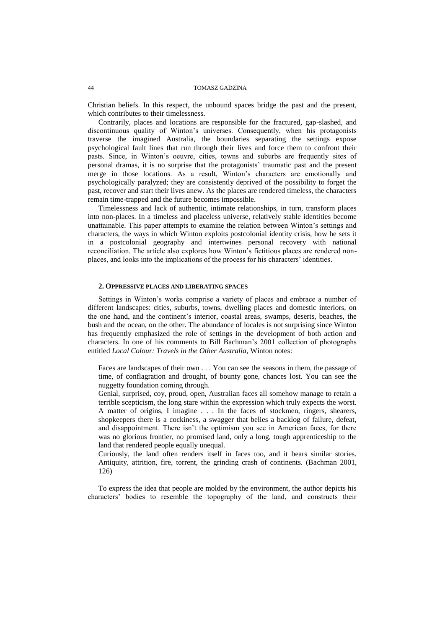Christian beliefs. In this respect, the unbound spaces bridge the past and the present, which contributes to their timelessness.

Contrarily, places and locations are responsible for the fractured, gap-slashed, and discontinuous quality of Winton's universes. Consequently, when his protagonists traverse the imagined Australia, the boundaries separating the settings expose psychological fault lines that run through their lives and force them to confront their pasts. Since, in Winton's oeuvre, cities, towns and suburbs are frequently sites of personal dramas, it is no surprise that the protagonists' traumatic past and the present merge in those locations. As a result, Winton's characters are emotionally and psychologically paralyzed; they are consistently deprived of the possibility to forget the past, recover and start their lives anew. As the places are rendered timeless, the characters remain time-trapped and the future becomes impossible.

Timelessness and lack of authentic, intimate relationships, in turn, transform places into non-places. In a timeless and placeless universe, relatively stable identities become unattainable. This paper attempts to examine the relation between Winton's settings and characters, the ways in which Winton exploits postcolonial identity crisis, how he sets it in a postcolonial geography and intertwines personal recovery with national reconciliation. The article also explores how Winton's fictitious places are rendered nonplaces, and looks into the implications of the process for his characters' identities.

# **2. OPPRESSIVE PLACES AND LIBERATING SPACES**

Settings in Winton's works comprise a variety of places and embrace a number of different landscapes: cities, suburbs, towns, dwelling places and domestic interiors, on the one hand, and the continent's interior, coastal areas, swamps, deserts, beaches, the bush and the ocean, on the other. The abundance of locales is not surprising since Winton has frequently emphasized the role of settings in the development of both action and characters. In one of his comments to Bill Bachman's 2001 collection of photographs entitled *Local Colour: Travels in the Other Australia,* Winton notes:

Faces are landscapes of their own . . . You can see the seasons in them, the passage of time, of conflagration and drought, of bounty gone, chances lost. You can see the nuggetty foundation coming through.

Genial, surprised, coy, proud, open, Australian faces all somehow manage to retain a terrible scepticism, the long stare within the expression which truly expects the worst. A matter of origins, I imagine . . . In the faces of stockmen, ringers, shearers, shopkeepers there is a cockiness, a swagger that belies a backlog of failure, defeat, and disappointment. There isn't the optimism you see in American faces, for there was no glorious frontier, no promised land, only a long, tough apprenticeship to the land that rendered people equally unequal.

Curiously, the land often renders itself in faces too, and it bears similar stories. Antiquity, attrition, fire, torrent, the grinding crash of continents. (Bachman 2001, 126)

To express the idea that people are molded by the environment, the author depicts his characters' bodies to resemble the topography of the land, and constructs their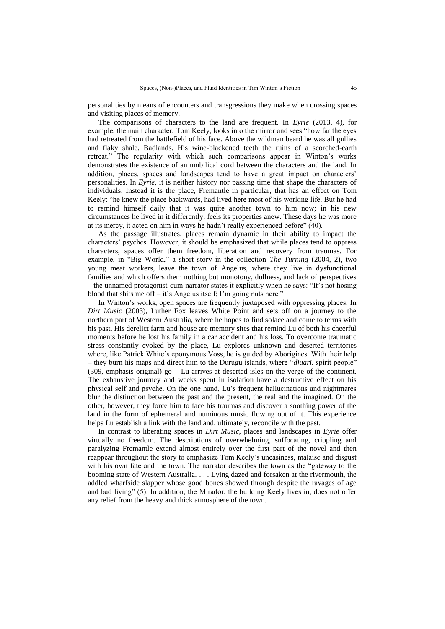personalities by means of encounters and transgressions they make when crossing spaces and visiting places of memory.

The comparisons of characters to the land are frequent. In *Eyrie* (2013, 4), for example, the main character, Tom Keely, looks into the mirror and sees "how far the eyes had retreated from the battlefield of his face. Above the wildman beard he was all gullies and flaky shale. Badlands. His wine-blackened teeth the ruins of a scorched-earth retreat." The regularity with which such comparisons appear in Winton's works demonstrates the existence of an umbilical cord between the characters and the land. In addition, places, spaces and landscapes tend to have a great impact on characters' personalities. In *Eyrie*, it is neither history nor passing time that shape the characters of individuals. Instead it is the place, Fremantle in particular, that has an effect on Tom Keely: "he knew the place backwards, had lived here most of his working life. But he had to remind himself daily that it was quite another town to him now; in his new circumstances he lived in it differently, feels its properties anew. These days he was more at its mercy, it acted on him in ways he hadn't really experienced before" (40).

As the passage illustrates, places remain dynamic in their ability to impact the characters' psyches. However, it should be emphasized that while places tend to oppress characters, spaces offer them freedom, liberation and recovery from traumas. For example, in "Big World," a short story in the collection *The Turning* (2004, 2), two young meat workers, leave the town of Angelus, where they live in dysfunctional families and which offers them nothing but monotony, dullness, and lack of perspectives – the unnamed protagonist-cum-narrator states it explicitly when he says: "It's not hosing blood that shits me off – it's Angelus itself; I'm going nuts here."

In Winton's works, open spaces are frequently juxtaposed with oppressing places. In *Dirt Music* (2003), Luther Fox leaves White Point and sets off on a journey to the northern part of Western Australia, where he hopes to find solace and come to terms with his past. His derelict farm and house are memory sites that remind Lu of both his cheerful moments before he lost his family in a car accident and his loss. To overcome traumatic stress constantly evoked by the place, Lu explores unknown and deserted territories where, like Patrick White's eponymous Voss, he is guided by Aborigines. With their help – they burn his maps and direct him to the Durugu islands, where "*djuari*, spirit people" (309, emphasis original) go – Lu arrives at deserted isles on the verge of the continent. The exhaustive journey and weeks spent in isolation have a destructive effect on his physical self and psyche. On the one hand, Lu's frequent hallucinations and nightmares blur the distinction between the past and the present, the real and the imagined. On the other, however, they force him to face his traumas and discover a soothing power of the land in the form of ephemeral and numinous music flowing out of it. This experience helps Lu establish a link with the land and, ultimately, reconcile with the past.

In contrast to liberating spaces in *Dirt Music*, places and landscapes in *Eyrie* offer virtually no freedom. The descriptions of overwhelming, suffocating, crippling and paralyzing Fremantle extend almost entirely over the first part of the novel and then reappear throughout the story to emphasize Tom Keely's uneasiness, malaise and disgust with his own fate and the town. The narrator describes the town as the "gateway to the booming state of Western Australia. . . . Lying dazed and forsaken at the rivermouth, the addled wharfside slapper whose good bones showed through despite the ravages of age and bad living" (5). In addition, the Mirador, the building Keely lives in, does not offer any relief from the heavy and thick atmosphere of the town.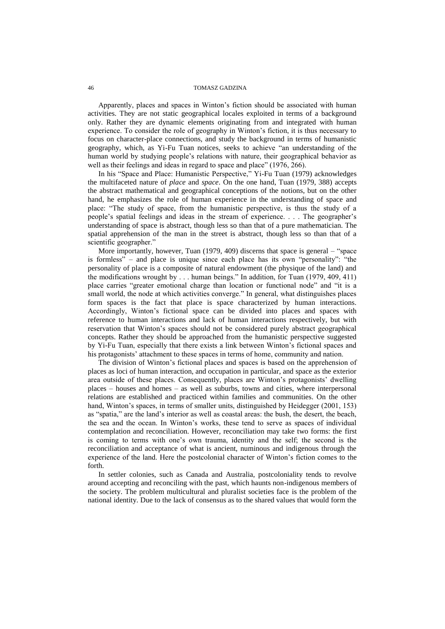Apparently, places and spaces in Winton's fiction should be associated with human activities. They are not static geographical locales exploited in terms of a background only. Rather they are dynamic elements originating from and integrated with human experience. To consider the role of geography in Winton's fiction, it is thus necessary to focus on character-place connections, and study the background in terms of humanistic geography, which, as Yi-Fu Tuan notices, seeks to achieve "an understanding of the human world by studying people's relations with nature, their geographical behavior as well as their feelings and ideas in regard to space and place" (1976, 266).

In his "Space and Place: Humanistic Perspective," Yi-Fu Tuan (1979) acknowledges the multifaceted nature of *place* and *space*. On the one hand, Tuan (1979, 388) accepts the abstract mathematical and geographical conceptions of the notions, but on the other hand, he emphasizes the role of human experience in the understanding of space and place: "The study of space, from the humanistic perspective, is thus the study of a people's spatial feelings and ideas in the stream of experience. . . . The geographer's understanding of space is abstract, though less so than that of a pure mathematician. The spatial apprehension of the man in the street is abstract, though less so than that of a scientific geographer."

More importantly, however, Tuan (1979, 409) discerns that space is general – "space is formless" – and place is unique since each place has its own "personality": "the personality of place is a composite of natural endowment (the physique of the land) and the modifications wrought by . . . human beings." In addition, for Tuan (1979, 409, 411) place carries "greater emotional charge than location or functional node" and "it is a small world, the node at which activities converge." In general, what distinguishes places form spaces is the fact that place is space characterized by human interactions. Accordingly, Winton's fictional space can be divided into places and spaces with reference to human interactions and lack of human interactions respectively, but with reservation that Winton's spaces should not be considered purely abstract geographical concepts. Rather they should be approached from the humanistic perspective suggested by Yi-Fu Tuan, especially that there exists a link between Winton's fictional spaces and his protagonists' attachment to these spaces in terms of home, community and nation.

The division of Winton's fictional places and spaces is based on the apprehension of places as loci of human interaction, and occupation in particular, and space as the exterior area outside of these places. Consequently, places are Winton's protagonists' dwelling places – houses and homes – as well as suburbs, towns and cities, where interpersonal relations are established and practiced within families and communities. On the other hand, Winton's spaces, in terms of smaller units, distinguished by Heidegger (2001, 153) as "spatia," are the land's interior as well as coastal areas: the bush, the desert, the beach, the sea and the ocean. In Winton's works, these tend to serve as spaces of individual contemplation and reconciliation. However, reconciliation may take two forms: the first is coming to terms with one's own trauma, identity and the self; the second is the reconciliation and acceptance of what is ancient, numinous and indigenous through the experience of the land. Here the postcolonial character of Winton's fiction comes to the forth.

In settler colonies, such as Canada and Australia, postcoloniality tends to revolve around accepting and reconciling with the past, which haunts non-indigenous members of the society. The problem multicultural and pluralist societies face is the problem of the national identity. Due to the lack of consensus as to the shared values that would form the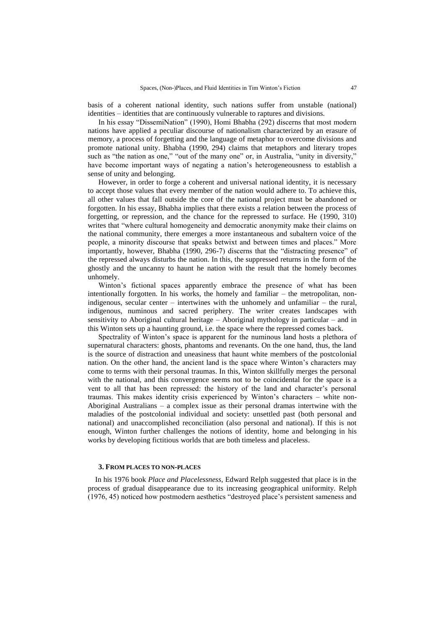basis of a coherent national identity, such nations suffer from unstable (national) identities – identities that are continuously vulnerable to raptures and divisions.

In his essay "DissemiNation" (1990), Homi Bhabha (292) discerns that most modern nations have applied a peculiar discourse of nationalism characterized by an erasure of memory, a process of forgetting and the language of metaphor to overcome divisions and promote national unity. Bhabha (1990, 294) claims that metaphors and literary tropes such as "the nation as one," "out of the many one" or, in Australia, "unity in diversity," have become important ways of negating a nation's heterogeneousness to establish a sense of unity and belonging.

However, in order to forge a coherent and universal national identity, it is necessary to accept those values that every member of the nation would adhere to. To achieve this, all other values that fall outside the core of the national project must be abandoned or forgotten. In his essay, Bhabha implies that there exists a relation between the process of forgetting, or repression, and the chance for the repressed to surface. He (1990, 310) writes that "where cultural homogeneity and democratic anonymity make their claims on the national community, there emerges a more instantaneous and subaltern voice of the people, a minority discourse that speaks betwixt and between times and places." More importantly, however, Bhabha (1990, 296-7) discerns that the "distracting presence" of the repressed always disturbs the nation. In this, the suppressed returns in the form of the ghostly and the uncanny to haunt he nation with the result that the homely becomes unhomely.

Winton's fictional spaces apparently embrace the presence of what has been intentionally forgotten. In his works, the homely and familiar – the metropolitan, nonindigenous, secular center – intertwines with the unhomely and unfamiliar – the rural, indigenous, numinous and sacred periphery. The writer creates landscapes with sensitivity to Aboriginal cultural heritage – Aboriginal mythology in particular – and in this Winton sets up a haunting ground, i.e. the space where the repressed comes back.

Spectrality of Winton's space is apparent for the numinous land hosts a plethora of supernatural characters: ghosts, phantoms and revenants. On the one hand, thus, the land is the source of distraction and uneasiness that haunt white members of the postcolonial nation. On the other hand, the ancient land is the space where Winton's characters may come to terms with their personal traumas. In this, Winton skillfully merges the personal with the national, and this convergence seems not to be coincidental for the space is a vent to all that has been repressed: the history of the land and character's personal traumas. This makes identity crisis experienced by Winton's characters – white non-Aboriginal Australians – a complex issue as their personal dramas intertwine with the maladies of the postcolonial individual and society: unsettled past (both personal and national) and unaccomplished reconciliation (also personal and national). If this is not enough, Winton further challenges the notions of identity, home and belonging in his works by developing fictitious worlds that are both timeless and placeless.

### **3. FROM PLACES TO NON-PLACES**

In his 1976 book *Place and Placelessness*, Edward Relph suggested that place is in the process of gradual disappearance due to its increasing geographical uniformity. Relph (1976, 45) noticed how postmodern aesthetics "destroyed place's persistent sameness and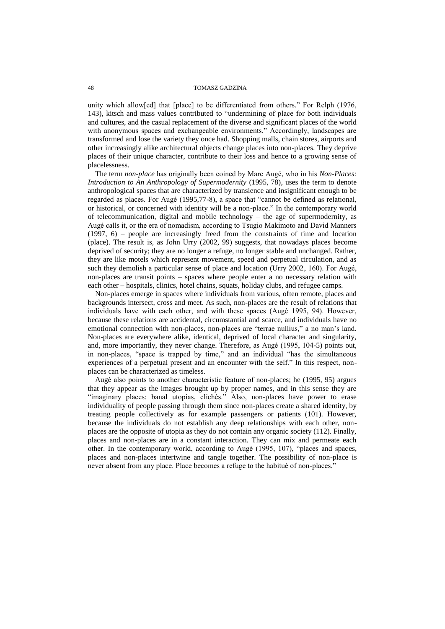unity which allow[ed] that [place] to be differentiated from others." For Relph (1976, 143), kitsch and mass values contributed to "undermining of place for both individuals and cultures, and the casual replacement of the diverse and significant places of the world with anonymous spaces and exchangeable environments." Accordingly, landscapes are transformed and lose the variety they once had. Shopping malls, chain stores, airports and other increasingly alike architectural objects change places into non-places. They deprive places of their unique character, contribute to their loss and hence to a growing sense of placelessness.

The term *non-place* has originally been coined by Marc Augé, who in his *Non-Places: Introduction to An Anthropology of Supermodernity* (1995, 78), uses the term to denote anthropological spaces that are characterized by transience and insignificant enough to be regarded as places. For Augé (1995,77-8), a space that "cannot be defined as relational, or historical, or concerned with identity will be a non-place." In the contemporary world of telecommunication, digital and mobile technology – the age of supermodernity, as Augé calls it, or the era of nomadism, according to Tsugio Makimoto and David Manners (1997, 6) – people are increasingly freed from the constraints of time and location (place). The result is, as John Urry (2002, 99) suggests, that nowadays places become deprived of security; they are no longer a refuge, no longer stable and unchanged. Rather, they are like motels which represent movement, speed and perpetual circulation, and as such they demolish a particular sense of place and location (Urry 2002, 160). For Augé, non-places are transit points – spaces where people enter a no necessary relation with each other – hospitals, clinics, hotel chains, squats, holiday clubs, and refugee camps.

Non-places emerge in spaces where individuals from various, often remote, places and backgrounds intersect, cross and meet. As such, non-places are the result of relations that individuals have with each other, and with these spaces (Augé 1995, 94). However, because these relations are accidental, circumstantial and scarce, and individuals have no emotional connection with non-places, non-places are "terrae nullius," a no man's land. Non-places are everywhere alike, identical, deprived of local character and singularity, and, more importantly, they never change. Therefore, as Augé (1995, 104-5) points out, in non-places, "space is trapped by time," and an individual "has the simultaneous experiences of a perpetual present and an encounter with the self." In this respect, nonplaces can be characterized as timeless.

Augé also points to another characteristic feature of non-places; he (1995, 95) argues that they appear as the images brought up by proper names, and in this sense they are "imaginary places: banal utopias, clichés." Also, non-places have power to erase individuality of people passing through them since non-places create a shared identity, by treating people collectively as for example passengers or patients (101). However, because the individuals do not establish any deep relationships with each other, nonplaces are the opposite of utopia as they do not contain any organic society (112). Finally, places and non-places are in a constant interaction. They can mix and permeate each other. In the contemporary world, according to Augé (1995, 107), "places and spaces, places and non-places intertwine and tangle together. The possibility of non-place is never absent from any place. Place becomes a refuge to the habitué of non-places."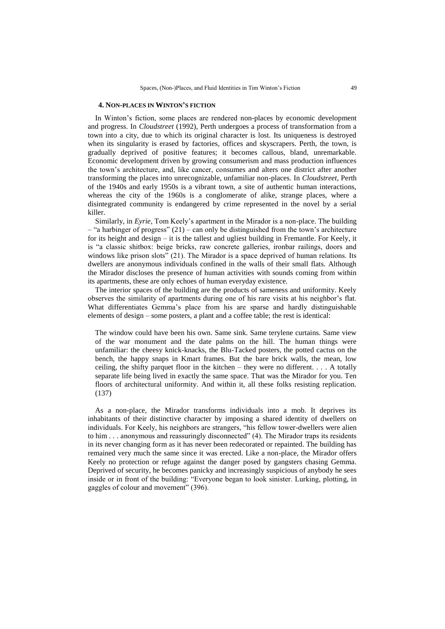### **4. NON-PLACES IN WINTON'S FICTION**

In Winton's fiction, some places are rendered non-places by economic development and progress. In *Cloudstreet* (1992), Perth undergoes a process of transformation from a town into a city, due to which its original character is lost. Its uniqueness is destroyed when its singularity is erased by factories, offices and skyscrapers. Perth, the town, is gradually deprived of positive features; it becomes callous, bland, unremarkable. Economic development driven by growing consumerism and mass production influences the town's architecture, and, like cancer, consumes and alters one district after another transforming the places into unrecognizable, unfamiliar non-places. In *Cloudstreet*, Perth of the 1940s and early 1950s is a vibrant town, a site of authentic human interactions, whereas the city of the 1960s is a conglomerate of alike, strange places, where a disintegrated community is endangered by crime represented in the novel by a serial killer.

Similarly, in *Eyrie*, Tom Keely's apartment in the Mirador is a non-place. The building  $-$  "a harbinger of progress" (21) – can only be distinguished from the town's architecture for its height and design – it is the tallest and ugliest building in Fremantle. For Keely, it is "a classic shitbox: beige bricks, raw concrete galleries, ironbar railings, doors and windows like prison slots" (21). The Mirador is a space deprived of human relations. Its dwellers are anonymous individuals confined in the walls of their small flats. Although the Mirador discloses the presence of human activities with sounds coming from within its apartments, these are only echoes of human everyday existence.

The interior spaces of the building are the products of sameness and uniformity. Keely observes the similarity of apartments during one of his rare visits at his neighbor's flat. What differentiates Gemma's place from his are sparse and hardly distinguishable elements of design – some posters, a plant and a coffee table; the rest is identical:

The window could have been his own. Same sink. Same terylene curtains. Same view of the war monument and the date palms on the hill. The human things were unfamiliar: the cheesy knick-knacks, the Blu-Tacked posters, the potted cactus on the bench, the happy snaps in Kmart frames. But the bare brick walls, the mean, low ceiling, the shifty parquet floor in the kitchen – they were no different.  $\ldots$  A totally separate life being lived in exactly the same space. That was the Mirador for you. Ten floors of architectural uniformity. And within it, all these folks resisting replication. (137)

As a non-place, the Mirador transforms individuals into a mob. It deprives its inhabitants of their distinctive character by imposing a shared identity of dwellers on individuals. For Keely, his neighbors are strangers, "his fellow tower-dwellers were alien to him . . . anonymous and reassuringly disconnected" (4). The Mirador traps its residents in its never changing form as it has never been redecorated or repainted. The building has remained very much the same since it was erected. Like a non-place, the Mirador offers Keely no protection or refuge against the danger posed by gangsters chasing Gemma. Deprived of security, he becomes panicky and increasingly suspicious of anybody he sees inside or in front of the building: "Everyone began to look sinister. Lurking, plotting, in gaggles of colour and movement" (396).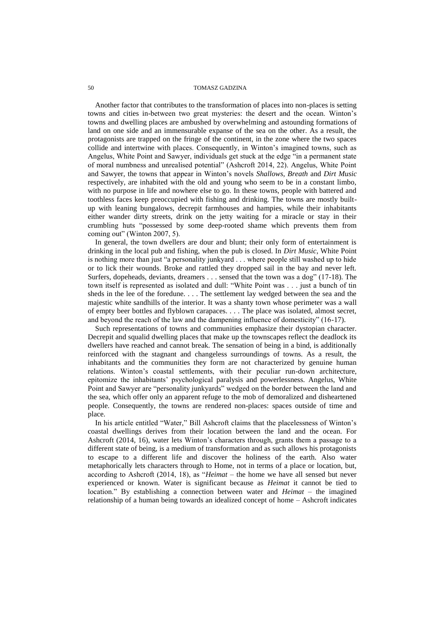Another factor that contributes to the transformation of places into non-places is setting towns and cities in-between two great mysteries: the desert and the ocean. Winton's towns and dwelling places are ambushed by overwhelming and astounding formations of land on one side and an immensurable expanse of the sea on the other. As a result, the protagonists are trapped on the fringe of the continent, in the zone where the two spaces collide and intertwine with places. Consequently, in Winton's imagined towns, such as Angelus, White Point and Sawyer, individuals get stuck at the edge "in a permanent state of moral numbness and unrealised potential" (Ashcroft 2014, 22). Angelus, White Point and Sawyer, the towns that appear in Winton's novels *Shallows*, *Breath* and *Dirt Music*  respectively, are inhabited with the old and young who seem to be in a constant limbo, with no purpose in life and nowhere else to go. In these towns, people with battered and toothless faces keep preoccupied with fishing and drinking. The towns are mostly builtup with leaning bungalows, decrepit farmhouses and hampies, while their inhabitants either wander dirty streets, drink on the jetty waiting for a miracle or stay in their crumbling huts "possessed by some deep-rooted shame which prevents them from coming out" (Winton 2007, 5).

In general, the town dwellers are dour and blunt; their only form of entertainment is drinking in the local pub and fishing, when the pub is closed. In *Dirt Music*, White Point is nothing more than just "a personality junkyard . . . where people still washed up to hide or to lick their wounds. Broke and rattled they dropped sail in the bay and never left. Surfers, dopeheads, deviants, dreamers . . . sensed that the town was a dog" (17-18). The town itself is represented as isolated and dull: "White Point was . . . just a bunch of tin sheds in the lee of the foredune. . . . The settlement lay wedged between the sea and the majestic white sandhills of the interior. It was a shanty town whose perimeter was a wall of empty beer bottles and flyblown carapaces. . . . The place was isolated, almost secret, and beyond the reach of the law and the dampening influence of domesticity" (16-17).

Such representations of towns and communities emphasize their dystopian character. Decrepit and squalid dwelling places that make up the townscapes reflect the deadlock its dwellers have reached and cannot break. The sensation of being in a bind, is additionally reinforced with the stagnant and changeless surroundings of towns. As a result, the inhabitants and the communities they form are not characterized by genuine human relations. Winton's coastal settlements, with their peculiar run-down architecture, epitomize the inhabitants' psychological paralysis and powerlessness. Angelus, White Point and Sawyer are "personality junkyards" wedged on the border between the land and the sea, which offer only an apparent refuge to the mob of demoralized and disheartened people. Consequently, the towns are rendered non-places: spaces outside of time and place.

In his article entitled "Water," Bill Ashcroft claims that the placelessness of Winton's coastal dwellings derives from their location between the land and the ocean. For Ashcroft (2014, 16), water lets Winton's characters through, grants them a passage to a different state of being, is a medium of transformation and as such allows his protagonists to escape to a different life and discover the holiness of the earth. Also water metaphorically lets characters through to Home, not in terms of a place or location, but, according to Ashcroft (2014, 18), as "*Heimat* – the home we have all sensed but never experienced or known. Water is significant because as *Heimat* it cannot be tied to location." By establishing a connection between water and *Heimat* – the imagined relationship of a human being towards an idealized concept of home – Ashcroft indicates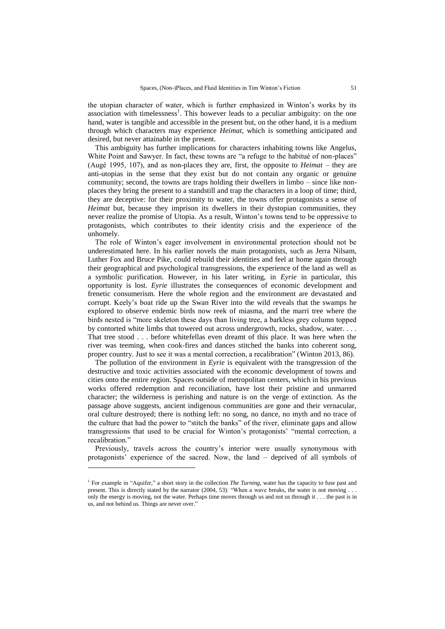the utopian character of water, which is further emphasized in Winton's works by its association with timelessness<sup>1</sup>. This however leads to a peculiar ambiguity: on the one hand, water is tangible and accessible in the present but, on the other hand, it is a medium through which characters may experience *Heimat*, which is something anticipated and desired, but never attainable in the present.

This ambiguity has further implications for characters inhabiting towns like Angelus, White Point and Sawyer. In fact, these towns are "a refuge to the habitué of non-places" (Augé 1995, 107), and as non-places they are, first, the opposite to *Heimat* – they are anti-utopias in the sense that they exist but do not contain any organic or genuine community; second, the towns are traps holding their dwellers in limbo – since like nonplaces they bring the present to a standstill and trap the characters in a loop of time; third, they are deceptive: for their proximity to water, the towns offer protagonists a sense of *Heimat* but, because they imprison its dwellers in their dystopian communities, they never realize the promise of Utopia. As a result, Winton's towns tend to be oppressive to protagonists, which contributes to their identity crisis and the experience of the unhomely.

The role of Winton's eager involvement in environmental protection should not be underestimated here. In his earlier novels the main protagonists, such as Jerra Nilsam, Luther Fox and Bruce Pike, could rebuild their identities and feel at home again through their geographical and psychological transgressions, the experience of the land as well as a symbolic purification. However, in his later writing, in *Eyrie* in particular, this opportunity is lost. *Eyrie* illustrates the consequences of economic development and frenetic consumerism. Here the whole region and the environment are devastated and corrupt. Keely's boat ride up the Swan River into the wild reveals that the swamps he explored to observe endemic birds now reek of miasma, and the marri tree where the birds nested is "more skeleton these days than living tree, a barkless grey column topped by contorted white limbs that towered out across undergrowth, rocks, shadow, water. . . . That tree stood . . . before whitefellas even dreamt of this place. It was here when the river was teeming, when cook-fires and dances stitched the banks into coherent song, proper country. Just to see it was a mental correction, a recalibration" (Winton 2013, 86).

The pollution of the environment in *Eyrie* is equivalent with the transgression of the destructive and toxic activities associated with the economic development of towns and cities onto the entire region. Spaces outside of metropolitan centers, which in his previous works offered redemption and reconciliation, have lost their pristine and unmarred character; the wilderness is perishing and nature is on the verge of extinction. As the passage above suggests, ancient indigenous communities are gone and their vernacular, oral culture destroyed; there is nothing left: no song, no dance, no myth and no trace of the culture that had the power to "stitch the banks" of the river, eliminate gaps and allow transgressions that used to be crucial for Winton's protagonists' "mental correction, a recalibration."

Previously, travels across the country's interior were usually synonymous with protagonists' experience of the sacred. Now, the land – deprived of all symbols of

l

<sup>&</sup>lt;sup>1</sup> For example in "Aquifer," a short story in the collection *The Turning*, water has the capacity to fuse past and present. This is directly stated by the narrator (2004, 53): "When a wave breaks, the water is not moving . . . only the energy is moving, not the water. Perhaps time moves through us and not us through it . . . the past is in us, and not behind us. Things are never over."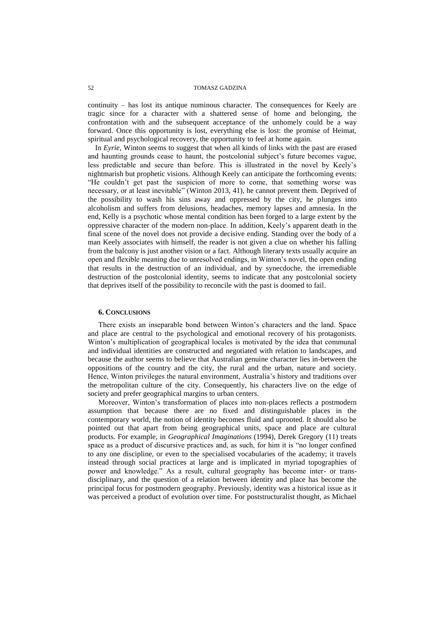continuity – has lost its antique numinous character. The consequences for Keely are tragic since for a character with a shattered sense of home and belonging, the confrontation with and the subsequent acceptance of the unhomely could be a way forward. Once this opportunity is lost, everything else is lost: the promise of Heimat, spiritual and psychological recovery, the opportunity to feel at home again.

In *Eyrie*, Winton seems to suggest that when all kinds of links with the past are erased and haunting grounds cease to haunt, the postcolonial subject's future becomes vague, less predictable and secure than before. This is illustrated in the novel by Keely's nightmarish but prophetic visions. Although Keely can anticipate the forthcoming events: "He couldn't get past the suspicion of more to come, that something worse was necessary, or at least inevitable" (Winton 2013, 41), he cannot prevent them. Deprived of the possibility to wash his sins away and oppressed by the city, he plunges into alcoholism and suffers from delusions, headaches, memory lapses and amnesia. In the end, Kelly is a psychotic whose mental condition has been forged to a large extent by the oppressive character of the modern non-place. In addition, Keely's apparent death in the final scene of the novel does not provide a decisive ending. Standing over the body of a man Keely associates with himself, the reader is not given a clue on whether his falling from the balcony is just another vision or a fact. Although literary texts usually acquire an open and flexible meaning due to unresolved endings, in Winton's novel, the open ending that results in the destruction of an individual, and by synecdoche, the irremediable destruction of the postcolonial identity, seems to indicate that any postcolonial society that deprives itself of the possibility to reconcile with the past is doomed to fail.

### **6. CONCLUSIONS**

There exists an inseparable bond between Winton's characters and the land. Space and place are central to the psychological and emotional recovery of his protagonists. Winton's multiplication of geographical locales is motivated by the idea that communal and individual identities are constructed and negotiated with relation to landscapes, and because the author seems to believe that Australian genuine character lies in-between the oppositions of the country and the city, the rural and the urban, nature and society. Hence, Winton privileges the natural environment, Australia's history and traditions over the metropolitan culture of the city. Consequently, his characters live on the edge of society and prefer geographical margins to urban centers.

Moreover, Winton's transformation of places into non-places reflects a postmodern assumption that because there are no fixed and distinguishable places in the contemporary world, the notion of identity becomes fluid and uprooted. It should also be pointed out that apart from being geographical units, space and place are cultural products. For example, in *Geographical Imaginations* (1994), Derek Gregory (11) treats space as a product of discursive practices and, as such, for him it is "no longer confined to any one discipline, or even to the specialised vocabularies of the academy; it travels instead through social practices at large and is implicated in myriad topographies of power and knowledge." As a result, cultural geography has become inter- or transdisciplinary, and the question of a relation between identity and place has become the principal focus for postmodern geography. Previously, identity was a historical issue as it was perceived a product of evolution over time. For poststructuralist thought, as Michael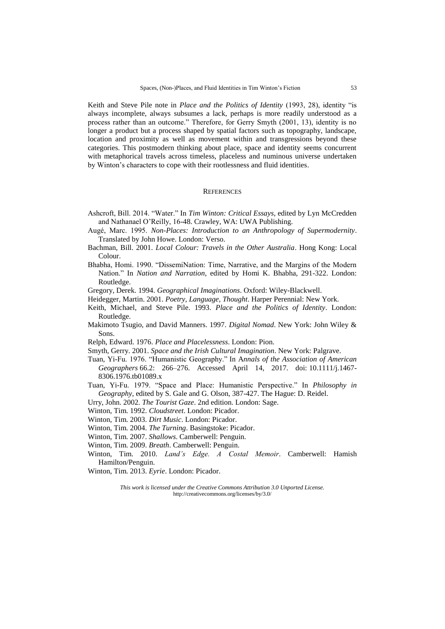Keith and Steve Pile note in *Place and the Politics of Identity* (1993, 28), identity "is always incomplete, always subsumes a lack, perhaps is more readily understood as a process rather than an outcome." Therefore, for Gerry Smyth (2001, 13), identity is no longer a product but a process shaped by spatial factors such as topography, landscape, location and proximity as well as movement within and transgressions beyond these categories. This postmodern thinking about place, space and identity seems concurrent with metaphorical travels across timeless, placeless and numinous universe undertaken by Winton's characters to cope with their rootlessness and fluid identities.

# **REFERENCES**

- Ashcroft, Bill. 2014. "Water." In *Tim Winton: Critical Essays*, edited by Lyn McCredden and Nathanael O'Reilly, 16-48. Crawley, WA: UWA Publishing.
- Augé, Marc. 1995. *Non-Places: Introduction to an Anthropology of Supermodernity*. Translated by John Howe. London: Verso.
- Bachman, Bill. 2001. *Local Colour: Travels in the Other Australia*. Hong Kong: Local Colour.
- Bhabha, Homi. 1990. "DissemiNation: Time, Narrative, and the Margins of the Modern Nation." In *Nation and Narration*, edited by Homi K. Bhabha, 291-322. London: Routledge.
- Gregory, Derek. 1994. *Geographical Imaginations*. Oxford: Wiley-Blackwell.
- Heidegger, Martin. 2001. *Poetry, Language, Thought*. Harper Perennial: New York.
- Keith, Michael, and Steve Pile. 1993. *Place and the Politics of Identity*. London: Routledge.
- Makimoto Tsugio, and David Manners. 1997. *Digital Nomad*. New York: John Wiley & Sons.
- Relph, Edward. 1976. *Place and Placelessness*. London: Pion.
- Smyth, Gerry. 2001. *Space and the Irish Cultural Imagination*. New York: Palgrave.
- Tuan, Yi-Fu. 1976. "Humanistic Geography." In A*nnals of the Association of American Geographers* 66.2: 266–276. Accessed April 14, 2017. doi: 10.1111/j.1467- 8306.1976.tb01089.x
- Tuan, Yi-Fu. 1979. "Space and Place: Humanistic Perspective." In *Philosophy in Geography*, edited by S. Gale and G. Olson, 387-427. The Hague: D. Reidel.
- Urry, John. 2002. *The Tourist Gaze*. 2nd edition. London: Sage.
- Winton, Tim. 1992. *Cloudstreet*. London: Picador.
- Winton, Tim. 2003. *Dirt Music*. London: Picador.
- Winton, Tim. 2004. *The Turning*. Basingstoke: Picador.
- Winton, Tim. 2007. *Shallows*. Camberwell: Penguin.
- Winton, Tim. 2009. *Breath*. Camberwell: Penguin.
- Winton, Tim. 2010. *Land's Edge. A Costal Memoir*. Camberwell: Hamish Hamilton/Penguin.
- Winton, Tim. 2013. *Eyrie*. London: Picador.